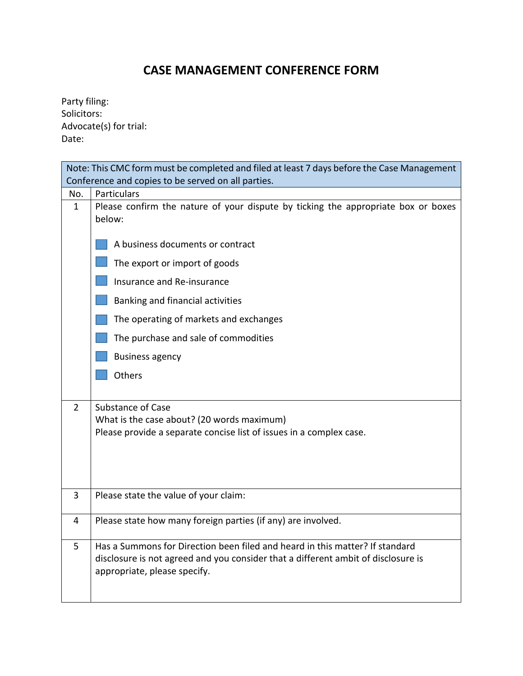## **CASE MANAGEMENT CONFERENCE FORM**

Party filing: Solicitors: Advocate(s) for trial: Date:

| Note: This CMC form must be completed and filed at least 7 days before the Case Management |                                                                                             |  |
|--------------------------------------------------------------------------------------------|---------------------------------------------------------------------------------------------|--|
|                                                                                            | Conference and copies to be served on all parties.                                          |  |
| No.                                                                                        | Particulars                                                                                 |  |
| $\mathbf{1}$                                                                               | Please confirm the nature of your dispute by ticking the appropriate box or boxes<br>below: |  |
|                                                                                            | A business documents or contract                                                            |  |
|                                                                                            | The export or import of goods                                                               |  |
|                                                                                            | Insurance and Re-insurance                                                                  |  |
|                                                                                            | Banking and financial activities                                                            |  |
|                                                                                            | The operating of markets and exchanges                                                      |  |
|                                                                                            | The purchase and sale of commodities                                                        |  |
|                                                                                            | <b>Business agency</b>                                                                      |  |
|                                                                                            | Others                                                                                      |  |
| $\mathcal{P}$                                                                              | <b>Substance of Case</b>                                                                    |  |
|                                                                                            | What is the case about? (20 words maximum)                                                  |  |
|                                                                                            | Please provide a separate concise list of issues in a complex case.                         |  |
|                                                                                            |                                                                                             |  |
|                                                                                            |                                                                                             |  |
|                                                                                            |                                                                                             |  |
| 3                                                                                          | Please state the value of your claim:                                                       |  |
| 4                                                                                          | Please state how many foreign parties (if any) are involved.                                |  |
|                                                                                            |                                                                                             |  |
| 5                                                                                          | Has a Summons for Direction been filed and heard in this matter? If standard                |  |
|                                                                                            | disclosure is not agreed and you consider that a different ambit of disclosure is           |  |
|                                                                                            | appropriate, please specify.                                                                |  |
|                                                                                            |                                                                                             |  |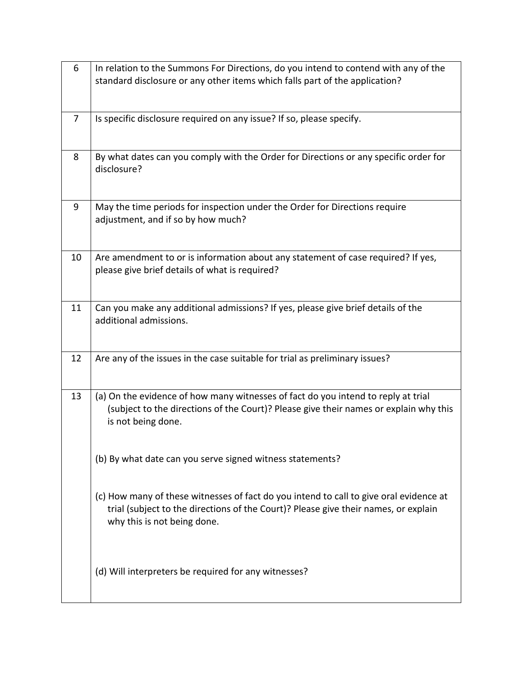| 6              | In relation to the Summons For Directions, do you intend to contend with any of the<br>standard disclosure or any other items which falls part of the application?                                           |
|----------------|--------------------------------------------------------------------------------------------------------------------------------------------------------------------------------------------------------------|
| $\overline{7}$ | Is specific disclosure required on any issue? If so, please specify.                                                                                                                                         |
| 8              | By what dates can you comply with the Order for Directions or any specific order for<br>disclosure?                                                                                                          |
| 9              | May the time periods for inspection under the Order for Directions require<br>adjustment, and if so by how much?                                                                                             |
| 10             | Are amendment to or is information about any statement of case required? If yes,<br>please give brief details of what is required?                                                                           |
| 11             | Can you make any additional admissions? If yes, please give brief details of the<br>additional admissions.                                                                                                   |
| 12             | Are any of the issues in the case suitable for trial as preliminary issues?                                                                                                                                  |
| 13             | (a) On the evidence of how many witnesses of fact do you intend to reply at trial<br>(subject to the directions of the Court)? Please give their names or explain why this<br>is not being done.             |
|                | (b) By what date can you serve signed witness statements?                                                                                                                                                    |
|                | (c) How many of these witnesses of fact do you intend to call to give oral evidence at<br>trial (subject to the directions of the Court)? Please give their names, or explain<br>why this is not being done. |
|                | (d) Will interpreters be required for any witnesses?                                                                                                                                                         |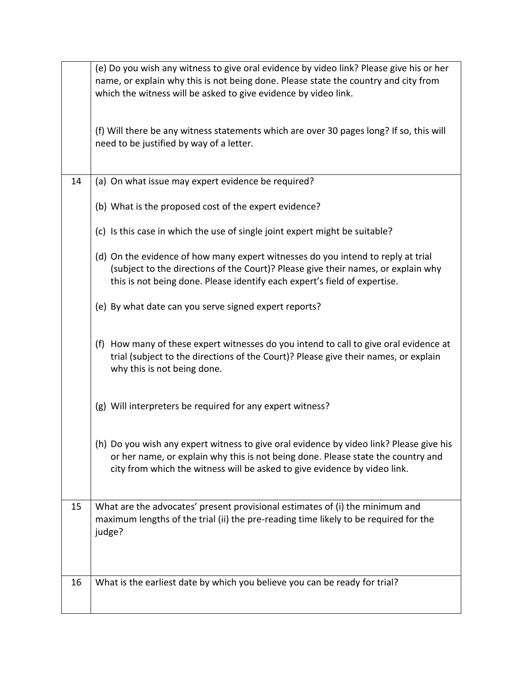|    | (e) Do you wish any witness to give oral evidence by video link? Please give his or her<br>name, or explain why this is not being done. Please state the country and city from<br>which the witness will be asked to give evidence by video link.        |
|----|----------------------------------------------------------------------------------------------------------------------------------------------------------------------------------------------------------------------------------------------------------|
|    | (f) Will there be any witness statements which are over 30 pages long? If so, this will<br>need to be justified by way of a letter.                                                                                                                      |
| 14 | (a) On what issue may expert evidence be required?                                                                                                                                                                                                       |
|    | (b) What is the proposed cost of the expert evidence?                                                                                                                                                                                                    |
|    | (c) Is this case in which the use of single joint expert might be suitable?                                                                                                                                                                              |
|    | (d) On the evidence of how many expert witnesses do you intend to reply at trial<br>(subject to the directions of the Court)? Please give their names, or explain why<br>this is not being done. Please identify each expert's field of expertise.       |
|    | (e) By what date can you serve signed expert reports?                                                                                                                                                                                                    |
|    | (f) How many of these expert witnesses do you intend to call to give oral evidence at<br>trial (subject to the directions of the Court)? Please give their names, or explain<br>why this is not being done.                                              |
|    | (g) Will interpreters be required for any expert witness?                                                                                                                                                                                                |
|    | (h) Do you wish any expert witness to give oral evidence by video link? Please give his<br>or her name, or explain why this is not being done. Please state the country and<br>city from which the witness will be asked to give evidence by video link. |
| 15 | What are the advocates' present provisional estimates of (i) the minimum and<br>maximum lengths of the trial (ii) the pre-reading time likely to be required for the<br>judge?                                                                           |
| 16 | What is the earliest date by which you believe you can be ready for trial?                                                                                                                                                                               |